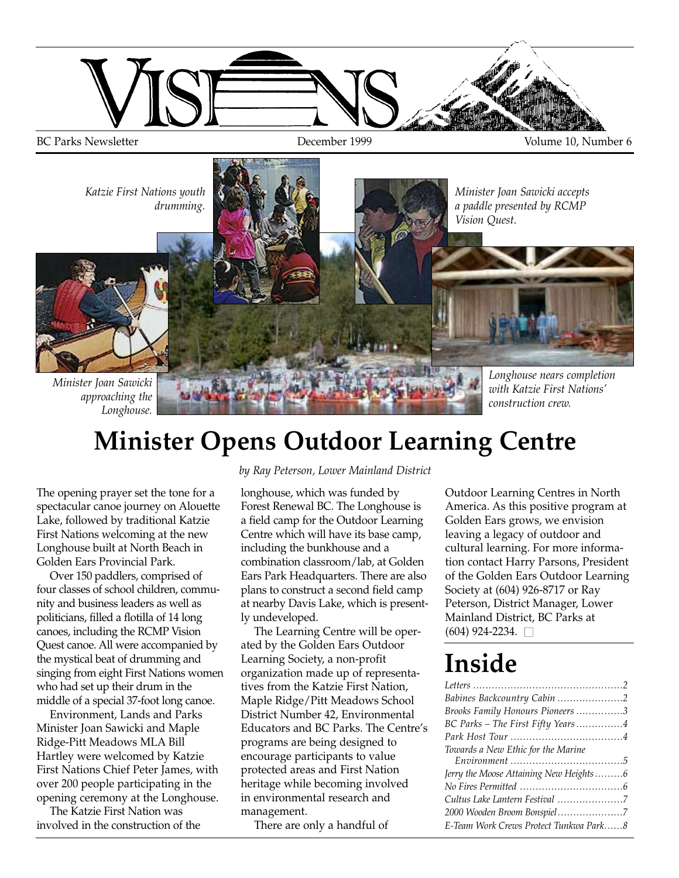

# **Minister Opens Outdoor Learning Centre**

The opening prayer set the tone for a spectacular canoe journey on Alouette Lake, followed by traditional Katzie First Nations welcoming at the new Longhouse built at North Beach in Golden Ears Provincial Park.

Over 150 paddlers, comprised of four classes of school children, community and business leaders as well as politicians, filled a flotilla of 14 long canoes, including the RCMP Vision Quest canoe. All were accompanied by the mystical beat of drumming and singing from eight First Nations women who had set up their drum in the middle of a special 37-foot long canoe.

Environment, Lands and Parks Minister Joan Sawicki and Maple Ridge-Pitt Meadows MLA Bill Hartley were welcomed by Katzie First Nations Chief Peter James, with over 200 people participating in the opening ceremony at the Longhouse.

The Katzie First Nation was involved in the construction of the *by Ray Peterson, Lower Mainland District* 

longhouse, which was funded by Forest Renewal BC. The Longhouse is a field camp for the Outdoor Learning Centre which will have its base camp, including the bunkhouse and a combination classroom/lab, at Golden Ears Park Headquarters. There are also plans to construct a second field camp at nearby Davis Lake, which is presently undeveloped.

The Learning Centre will be operated by the Golden Ears Outdoor Learning Society, a non-profit organization made up of representatives from the Katzie First Nation, Maple Ridge/Pitt Meadows School District Number 42, Environmental Educators and BC Parks. The Centre's programs are being designed to encourage participants to value protected areas and First Nation heritage while becoming involved in environmental research and management.

There are only a handful of

Outdoor Learning Centres in North America. As this positive program at Golden Ears grows, we envision leaving a legacy of outdoor and cultural learning. For more information contact Harry Parsons, President of the Golden Ears Outdoor Learning Society at (604) 926-8717 or Ray Peterson, District Manager, Lower Mainland District, BC Parks at  $(604)$  924-2234.  $\Box$ 

# **Inside**

| Babines Backcountry Cabin 2            |
|----------------------------------------|
| Brooks Family Honours Pioneers 3       |
| BC Parks - The First Fifty Years4      |
|                                        |
| Towards a New Ethic for the Marine     |
|                                        |
| Jerry the Moose Attaining New Heights6 |
|                                        |
|                                        |
| 2000 Wooden Broom Bonspiel7            |
|                                        |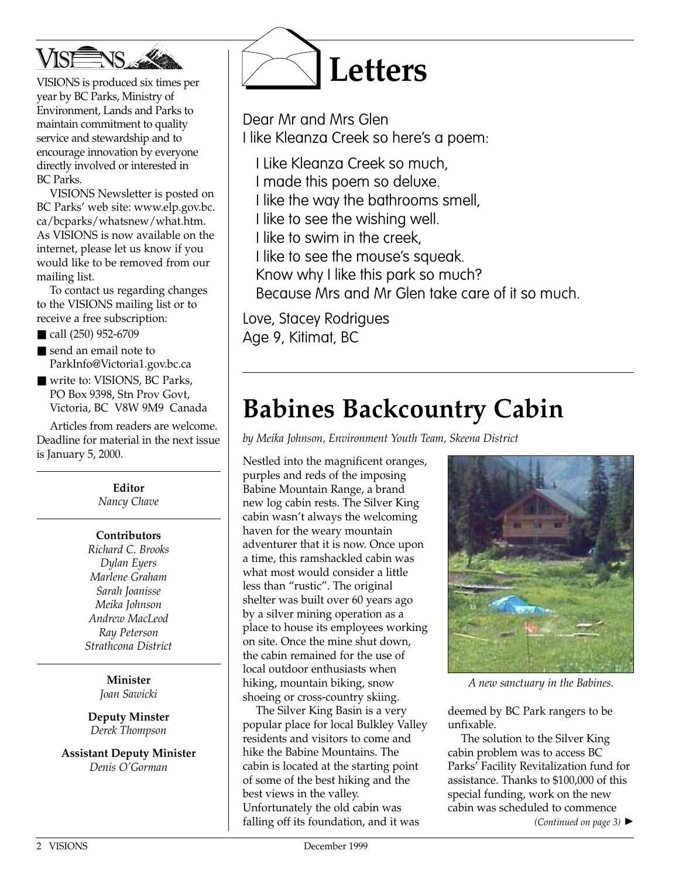

VISIONS is produced six times per year by BC Parks, Ministry of Environment, Lands and Parks to maintain commitment to quality service and stewardship and to encourage innovation by everyone directly involved or interested in BC Parks.

VISIONS Newsletter is posted on BC Parks' web site: www.elp.gov.bc. ca/bcparks/whatsnew/what.htm. As VISIONS is now available on the internet, please let us know if you would like to be removed from our mailing list.

To contact us regarding changes to the VISIONS mailing list or to receive a free subscription:

■ call (250) 952-6709

- send an email note to ParkInfo@Victoria1.gov.bc.ca
- write to: VISIONS, BC Parks, PO Box 9398, Stn Prov Govt, Victoria, BC V8W 9M9 Canada

Articles from readers are welcome. Deadline for material in the next issue is January 5, 2000.

> **Editor** *Nancy Chave*

#### **Contributors**

*Richard C. Brooks Dylan Eyers Marlene Graham Sarah Joanisse Meika Johnson Andrew MacLeod Ray Peterson Strathcona District*

> **Minister** *Joan Sawicki*

**Deputy Minster** *Derek Thompson*

**Assistant Deputy Minister** *Denis O'Gorman*



Dear Mr and Mrs Glen I like Kleanza Creek so here's a poem:

- I Like Kleanza Creek so much,
- I made this poem so deluxe.
- I like the way the bathrooms smell,
- I like to see the wishing well.
- I like to swim in the creek,
- I like to see the mouse's squeak.
- Know why I like this park so much?
- Because Mrs and Mr Glen take care of it so much.

Love, Stacey Rodrigues Age 9, Kitimat, BC

# **Babines Backcountry Cabin**

*by Meika Johnson, Environment Youth Team, Skeena District*

Nestled into the magnificent oranges, purples and reds of the imposing Babine Mountain Range, a brand new log cabin rests. The Silver King cabin wasn't always the welcoming haven for the weary mountain adventurer that it is now. Once upon a time, this ramshackled cabin was what most would consider a little less than "rustic". The original shelter was built over 60 years ago by a silver mining operation as a place to house its employees working on site. Once the mine shut down, the cabin remained for the use of local outdoor enthusiasts when hiking, mountain biking, snow shoeing or cross-country skiing.

The Silver King Basin is a very popular place for local Bulkley Valley residents and visitors to come and hike the Babine Mountains. The cabin is located at the starting point of some of the best hiking and the best views in the valley. Unfortunately the old cabin was falling off its foundation, and it was



*A new sanctuary in the Babines.*

deemed by BC Park rangers to be unfixable.

The solution to the Silver King cabin problem was to access BC Parks' Facility Revitalization fund for assistance. Thanks to \$100,000 of this special funding, work on the new cabin was scheduled to commence

*(Continued on page 3)* ▲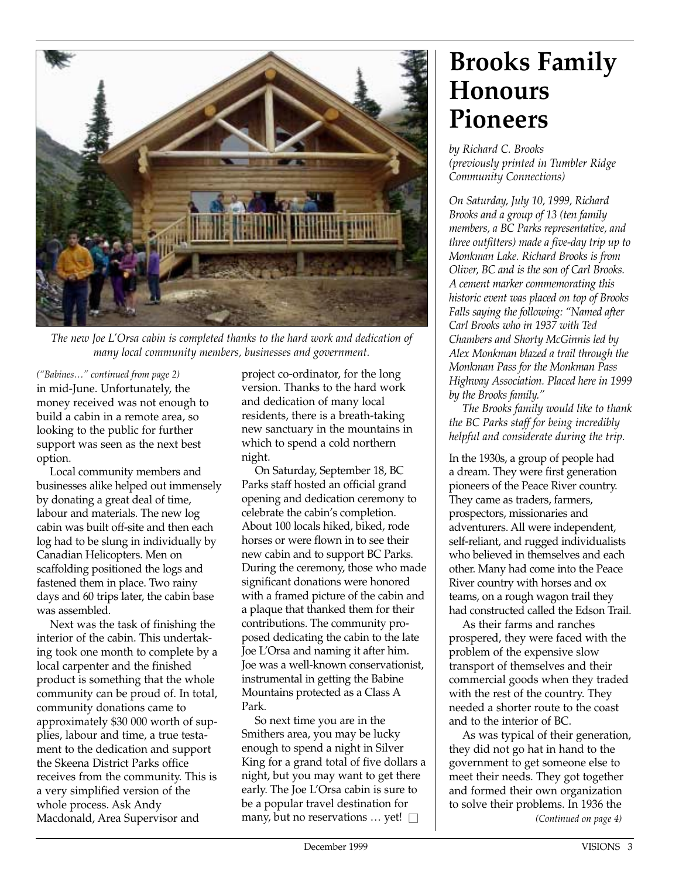

*The new Joe L'Orsa cabin is completed thanks to the hard work and dedication of many local community members, businesses and government.*

*("Babines…" continued from page 2)* in mid-June. Unfortunately, the money received was not enough to build a cabin in a remote area, so looking to the public for further support was seen as the next best option.

Local community members and businesses alike helped out immensely by donating a great deal of time, labour and materials. The new log cabin was built off-site and then each log had to be slung in individually by Canadian Helicopters. Men on scaffolding positioned the logs and fastened them in place. Two rainy days and 60 trips later, the cabin base was assembled.

Next was the task of finishing the interior of the cabin. This undertaking took one month to complete by a local carpenter and the finished product is something that the whole community can be proud of. In total, community donations came to approximately \$30 000 worth of supplies, labour and time, a true testament to the dedication and support the Skeena District Parks office receives from the community. This is a very simplified version of the whole process. Ask Andy Macdonald, Area Supervisor and

project co-ordinator, for the long version. Thanks to the hard work and dedication of many local residents, there is a breath-taking new sanctuary in the mountains in which to spend a cold northern night.

On Saturday, September 18, BC Parks staff hosted an official grand opening and dedication ceremony to celebrate the cabin's completion. About 100 locals hiked, biked, rode horses or were flown in to see their new cabin and to support BC Parks. During the ceremony, those who made significant donations were honored with a framed picture of the cabin and a plaque that thanked them for their contributions. The community proposed dedicating the cabin to the late Joe L'Orsa and naming it after him. Joe was a well-known conservationist, instrumental in getting the Babine Mountains protected as a Class A Park.

So next time you are in the Smithers area, you may be lucky enough to spend a night in Silver King for a grand total of five dollars a night, but you may want to get there early. The Joe L'Orsa cabin is sure to be a popular travel destination for many, but no reservations  $\ldots$  yet!  $\Box$ 

# **Brooks Family Honours Pioneers**

*by Richard C. Brooks (previously printed in Tumbler Ridge Community Connections)*

*On Saturday, July 10, 1999, Richard Brooks and a group of 13 (ten family members, a BC Parks representative, and three outfitters) made a five-day trip up to Monkman Lake. Richard Brooks is from Oliver, BC and is the son of Carl Brooks. A cement marker commemorating this historic event was placed on top of Brooks Falls saying the following: "Named after Carl Brooks who in 1937 with Ted Chambers and Shorty McGinnis led by Alex Monkman blazed a trail through the Monkman Pass for the Monkman Pass Highway Association. Placed here in 1999 by the Brooks family."*

*The Brooks family would like to thank the BC Parks staff for being incredibly helpful and considerate during the trip.*

In the 1930s, a group of people had a dream. They were first generation pioneers of the Peace River country. They came as traders, farmers, prospectors, missionaries and adventurers. All were independent, self-reliant, and rugged individualists who believed in themselves and each other. Many had come into the Peace River country with horses and ox teams, on a rough wagon trail they had constructed called the Edson Trail.

As their farms and ranches prospered, they were faced with the problem of the expensive slow transport of themselves and their commercial goods when they traded with the rest of the country. They needed a shorter route to the coast and to the interior of BC.

As was typical of their generation, they did not go hat in hand to the government to get someone else to meet their needs. They got together and formed their own organization to solve their problems. In 1936 the *(Continued on page 4)*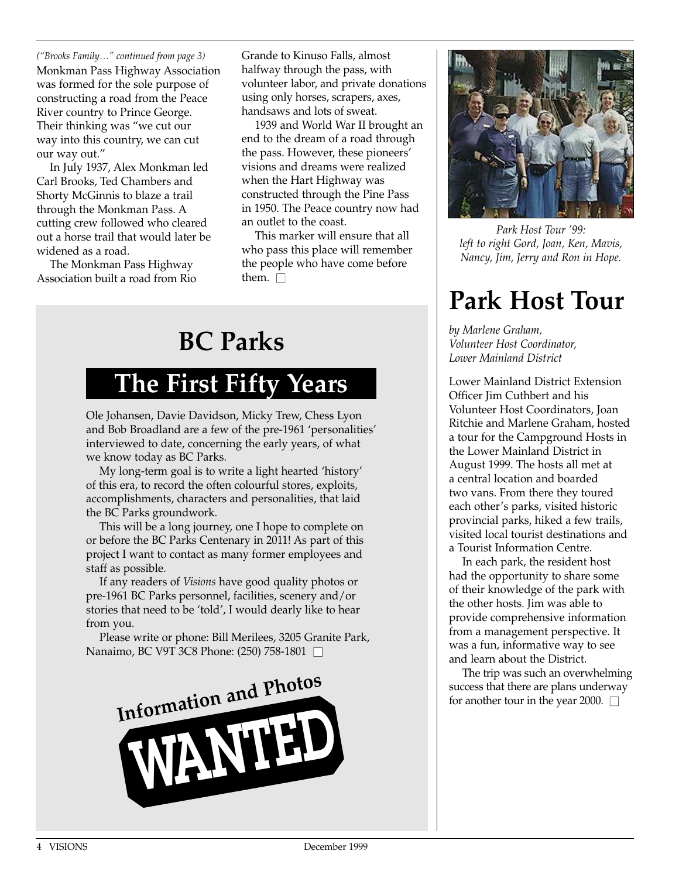*("Brooks Family…" continued from page 3)* Monkman Pass Highway Association was formed for the sole purpose of constructing a road from the Peace River country to Prince George. Their thinking was "we cut our way into this country, we can cut our way out."

In July 1937, Alex Monkman led Carl Brooks, Ted Chambers and Shorty McGinnis to blaze a trail through the Monkman Pass. A cutting crew followed who cleared out a horse trail that would later be widened as a road.

The Monkman Pass Highway Association built a road from Rio

Grande to Kinuso Falls, almost halfway through the pass, with volunteer labor, and private donations using only horses, scrapers, axes, handsaws and lots of sweat.

1939 and World War II brought an end to the dream of a road through the pass. However, these pioneers' visions and dreams were realized when the Hart Highway was constructed through the Pine Pass in 1950. The Peace country now had an outlet to the coast.

This marker will ensure that all who pass this place will remember the people who have come before them.  $\Box$ 

# **BC Parks**

### **The First Fifty Years**

Ole Johansen, Davie Davidson, Micky Trew, Chess Lyon and Bob Broadland are a few of the pre-1961 'personalities' interviewed to date, concerning the early years, of what we know today as BC Parks.

My long-term goal is to write a light hearted 'history' of this era, to record the often colourful stores, exploits, accomplishments, characters and personalities, that laid the BC Parks groundwork.

This will be a long journey, one I hope to complete on or before the BC Parks Centenary in 2011! As part of this project I want to contact as many former employees and staff as possible.

If any readers of *Visions* have good quality photos or pre-1961 BC Parks personnel, facilities, scenery and/or stories that need to be 'told', I would dearly like to hear from you.

Please write or phone: Bill Merilees, 3205 Granite Park, Nanaimo, BC V9T 3C8 Phone: (250) 758-1801 □





*Park Host Tour '99: left to right Gord, Joan, Ken, Mavis, Nancy, Jim, Jerry and Ron in Hope.*

# **Park Host Tour**

*by Marlene Graham, Volunteer Host Coordinator, Lower Mainland District*

Lower Mainland District Extension Officer Jim Cuthbert and his Volunteer Host Coordinators, Joan Ritchie and Marlene Graham, hosted a tour for the Campground Hosts in the Lower Mainland District in August 1999. The hosts all met at a central location and boarded two vans. From there they toured each other's parks, visited historic provincial parks, hiked a few trails, visited local tourist destinations and a Tourist Information Centre.

In each park, the resident host had the opportunity to share some of their knowledge of the park with the other hosts. Jim was able to provide comprehensive information from a management perspective. It was a fun, informative way to see and learn about the District.

The trip was such an overwhelming success that there are plans underway for another tour in the year 2000.  $\Box$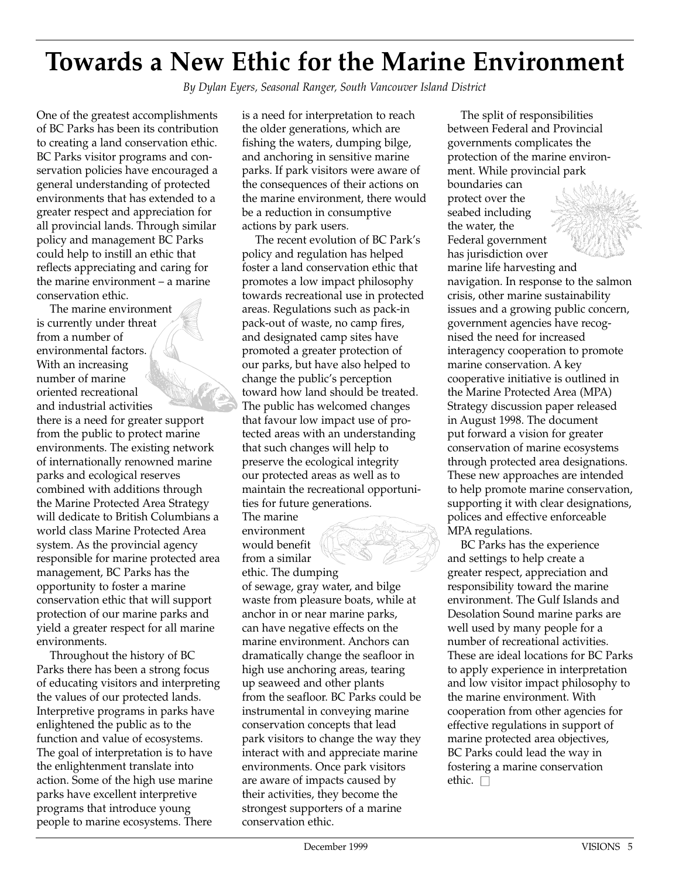### **Towards a New Ethic for the Marine Environment**

*By Dylan Eyers, Seasonal Ranger, South Vancouver Island District*

One of the greatest accomplishments of BC Parks has been its contribution to creating a land conservation ethic. BC Parks visitor programs and conservation policies have encouraged a general understanding of protected environments that has extended to a greater respect and appreciation for all provincial lands. Through similar policy and management BC Parks could help to instill an ethic that reflects appreciating and caring for the marine environment – a marine conservation ethic.

The marine environment is currently under threat from a number of environmental factors. With an increasing number of marine oriented recreational and industrial activities there is a need for greater support from the public to protect marine environments. The existing network of internationally renowned marine parks and ecological reserves combined with additions through the Marine Protected Area Strategy will dedicate to British Columbians a world class Marine Protected Area system. As the provincial agency responsible for marine protected area management, BC Parks has the opportunity to foster a marine conservation ethic that will support protection of our marine parks and yield a greater respect for all marine environments.

Throughout the history of BC Parks there has been a strong focus of educating visitors and interpreting the values of our protected lands. Interpretive programs in parks have enlightened the public as to the function and value of ecosystems. The goal of interpretation is to have the enlightenment translate into action. Some of the high use marine parks have excellent interpretive programs that introduce young people to marine ecosystems. There

is a need for interpretation to reach the older generations, which are fishing the waters, dumping bilge, and anchoring in sensitive marine parks. If park visitors were aware of the consequences of their actions on the marine environment, there would be a reduction in consumptive actions by park users.

The recent evolution of BC Park's policy and regulation has helped foster a land conservation ethic that promotes a low impact philosophy towards recreational use in protected areas. Regulations such as pack-in pack-out of waste, no camp fires, and designated camp sites have promoted a greater protection of our parks, but have also helped to change the public's perception toward how land should be treated. The public has welcomed changes that favour low impact use of protected areas with an understanding that such changes will help to preserve the ecological integrity our protected areas as well as to maintain the recreational opportunities for future generations.

The marine environment would benefit from a similar ethic. The dumping

of sewage, gray water, and bilge waste from pleasure boats, while at anchor in or near marine parks, can have negative effects on the marine environment. Anchors can dramatically change the seafloor in high use anchoring areas, tearing up seaweed and other plants from the seafloor. BC Parks could be instrumental in conveying marine conservation concepts that lead park visitors to change the way they interact with and appreciate marine environments. Once park visitors are aware of impacts caused by their activities, they become the strongest supporters of a marine conservation ethic.

The split of responsibilities between Federal and Provincial governments complicates the protection of the marine environment. While provincial park boundaries can protect over the seabed including the water, the Federal government has jurisdiction over marine life harvesting and navigation. In response to the salmon crisis, other marine sustainability issues and a growing public concern, government agencies have recognised the need for increased interagency cooperation to promote marine conservation. A key cooperative initiative is outlined in the Marine Protected Area (MPA) Strategy discussion paper released in August 1998. The document put forward a vision for greater conservation of marine ecosystems through protected area designations. These new approaches are intended to help promote marine conservation, supporting it with clear designations, polices and effective enforceable MPA regulations.

BC Parks has the experience and settings to help create a greater respect, appreciation and responsibility toward the marine environment. The Gulf Islands and Desolation Sound marine parks are well used by many people for a number of recreational activities. These are ideal locations for BC Parks to apply experience in interpretation and low visitor impact philosophy to the marine environment. With cooperation from other agencies for effective regulations in support of marine protected area objectives, BC Parks could lead the way in fostering a marine conservation ethic.  $\square$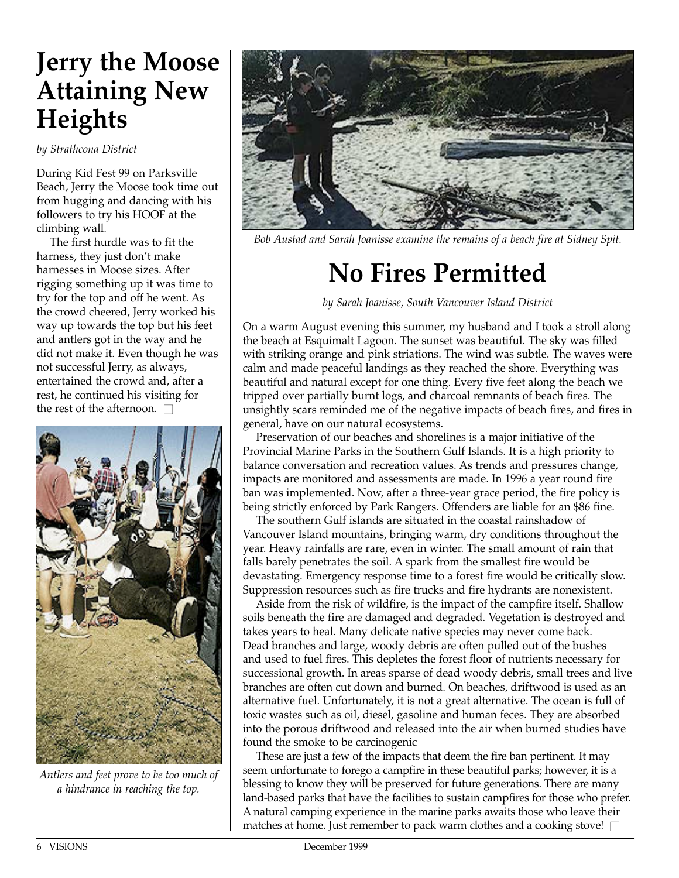# **Jerry the Moose Attaining New Heights**

*by Strathcona District*

During Kid Fest 99 on Parksville Beach, Jerry the Moose took time out from hugging and dancing with his followers to try his HOOF at the climbing wall.

The first hurdle was to fit the harness, they just don't make harnesses in Moose sizes. After rigging something up it was time to try for the top and off he went. As the crowd cheered, Jerry worked his way up towards the top but his feet and antlers got in the way and he did not make it. Even though he was not successful Jerry, as always, entertained the crowd and, after a rest, he continued his visiting for the rest of the afternoon.  $\square$ 



*Antlers and feet prove to be too much of a hindrance in reaching the top.*



*Bob Austad and Sarah Joanisse examine the remains of a beach fire at Sidney Spit.*

# **No Fires Permitted**

*by Sarah Joanisse, South Vancouver Island District*

On a warm August evening this summer, my husband and I took a stroll along the beach at Esquimalt Lagoon. The sunset was beautiful. The sky was filled with striking orange and pink striations. The wind was subtle. The waves were calm and made peaceful landings as they reached the shore. Everything was beautiful and natural except for one thing. Every five feet along the beach we tripped over partially burnt logs, and charcoal remnants of beach fires. The unsightly scars reminded me of the negative impacts of beach fires, and fires in general, have on our natural ecosystems.

Preservation of our beaches and shorelines is a major initiative of the Provincial Marine Parks in the Southern Gulf Islands. It is a high priority to balance conversation and recreation values. As trends and pressures change, impacts are monitored and assessments are made. In 1996 a year round fire ban was implemented. Now, after a three-year grace period, the fire policy is being strictly enforced by Park Rangers. Offenders are liable for an \$86 fine.

The southern Gulf islands are situated in the coastal rainshadow of Vancouver Island mountains, bringing warm, dry conditions throughout the year. Heavy rainfalls are rare, even in winter. The small amount of rain that falls barely penetrates the soil. A spark from the smallest fire would be devastating. Emergency response time to a forest fire would be critically slow. Suppression resources such as fire trucks and fire hydrants are nonexistent.

Aside from the risk of wildfire, is the impact of the campfire itself. Shallow soils beneath the fire are damaged and degraded. Vegetation is destroyed and takes years to heal. Many delicate native species may never come back. Dead branches and large, woody debris are often pulled out of the bushes and used to fuel fires. This depletes the forest floor of nutrients necessary for successional growth. In areas sparse of dead woody debris, small trees and live branches are often cut down and burned. On beaches, driftwood is used as an alternative fuel. Unfortunately, it is not a great alternative. The ocean is full of toxic wastes such as oil, diesel, gasoline and human feces. They are absorbed into the porous driftwood and released into the air when burned studies have found the smoke to be carcinogenic

These are just a few of the impacts that deem the fire ban pertinent. It may seem unfortunate to forego a campfire in these beautiful parks; however, it is a blessing to know they will be preserved for future generations. There are many land-based parks that have the facilities to sustain campfires for those who prefer. A natural camping experience in the marine parks awaits those who leave their matches at home. Just remember to pack warm clothes and a cooking stove!  $\square$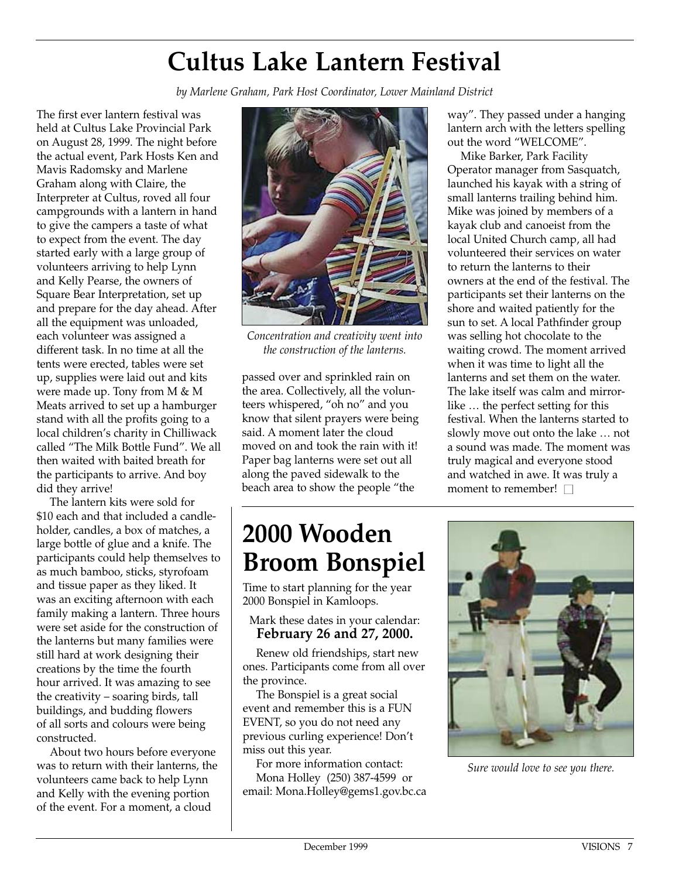# **Cultus Lake Lantern Festival**

*by Marlene Graham, Park Host Coordinator, Lower Mainland District*

The first ever lantern festival was held at Cultus Lake Provincial Park on August 28, 1999. The night before the actual event, Park Hosts Ken and Mavis Radomsky and Marlene Graham along with Claire, the Interpreter at Cultus, roved all four campgrounds with a lantern in hand to give the campers a taste of what to expect from the event. The day started early with a large group of volunteers arriving to help Lynn and Kelly Pearse, the owners of Square Bear Interpretation, set up and prepare for the day ahead. After all the equipment was unloaded, each volunteer was assigned a different task. In no time at all the tents were erected, tables were set up, supplies were laid out and kits were made up. Tony from M & M Meats arrived to set up a hamburger stand with all the profits going to a local children's charity in Chilliwack called "The Milk Bottle Fund". We all then waited with baited breath for the participants to arrive. And boy did they arrive!

The lantern kits were sold for \$10 each and that included a candleholder, candles, a box of matches, a large bottle of glue and a knife. The participants could help themselves to as much bamboo, sticks, styrofoam and tissue paper as they liked. It was an exciting afternoon with each family making a lantern. Three hours were set aside for the construction of the lanterns but many families were still hard at work designing their creations by the time the fourth hour arrived. It was amazing to see the creativity – soaring birds, tall buildings, and budding flowers of all sorts and colours were being constructed.

About two hours before everyone was to return with their lanterns, the volunteers came back to help Lynn and Kelly with the evening portion of the event. For a moment, a cloud



*Concentration and creativity went into the construction of the lanterns.*

passed over and sprinkled rain on the area. Collectively, all the volunteers whispered, "oh no" and you know that silent prayers were being said. A moment later the cloud moved on and took the rain with it! Paper bag lanterns were set out all along the paved sidewalk to the beach area to show the people "the

# **2000 Wooden Broom Bonspiel**

Time to start planning for the year 2000 Bonspiel in Kamloops.

#### Mark these dates in your calendar: **February 26 and 27, 2000.**

Renew old friendships, start new ones. Participants come from all over the province.

The Bonspiel is a great social event and remember this is a FUN EVENT, so you do not need any previous curling experience! Don't miss out this year.

For more information contact: Mona Holley (250) 387-4599 or email: Mona.Holley@gems1.gov.bc.ca way". They passed under a hanging lantern arch with the letters spelling out the word "WELCOME".

Mike Barker, Park Facility Operator manager from Sasquatch, launched his kayak with a string of small lanterns trailing behind him. Mike was joined by members of a kayak club and canoeist from the local United Church camp, all had volunteered their services on water to return the lanterns to their owners at the end of the festival. The participants set their lanterns on the shore and waited patiently for the sun to set. A local Pathfinder group was selling hot chocolate to the waiting crowd. The moment arrived when it was time to light all the lanterns and set them on the water. The lake itself was calm and mirrorlike … the perfect setting for this festival. When the lanterns started to slowly move out onto the lake … not a sound was made. The moment was truly magical and everyone stood and watched in awe. It was truly a moment to remember!  $\square$ 



*Sure would love to see you there.*